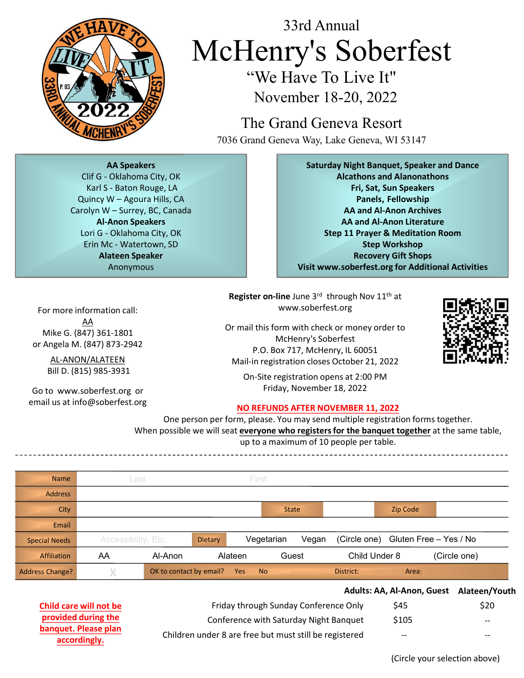

For more information call:

Mike G. (847) 361-1801 or Angela M. (847) 873-2942

Bill D. (815) 985-3931

Go to www.soberfest.org or email us at info@soberfest.org

## 33rd Annual McHenry's Soberfest "We Have To Live It" 33rd Annual<br>
We Have To Live It<br>
We Have To Live It<br>
We Have To Live It<br>
November 18-20, 202<br>
2022<br>
The Grand Geneva Resc<br>
7036 Grand Geneva Way, Lake Geneva, V<br>
Karl S- Baton Rouge, LA<br>
Nuincy We Academies, Clif G- Oklaho  $\begin{array}{c|c|c|c} \hline & & & 33 \text{rd Annual} & & \text{M} & \text{M} & \text{M} & \text{M} & \text{M} & \text{M} & \text{M} & \text{M} & \text{M} & \text{M} & \text{M} & \text{M} & \text{M} & \text{M} & \text{M} & \text{M} & \text{M} & \text{M} & \text{M} & \text{M} & \text{M} & \text{M} & \text{M} & \text{M} & \text{M} & \text{M} & \text{M} & \text{M} & \text{M} & \text{M} & \text{M} & \text{M$ 33rd Annual<br>
We Have To Live It"<br>
We Have To Live It"<br>
November 18-20, 2022<br>
2022<br>
2022<br>
The Grand Geneva Resort<br>
<sup>7036</sup> Grand Geneva Resort<br>
<sup>7036</sup> Grand Geneva Way, Lake Geneva, WI 53147<br>
A Speakers<br>
Clif G-Oklahoma Cit 33rd Annual<br>
We Have To Live It<br>
We Have To Live It<br>
We Have To Live It<br>
November 18-20, 202<br>
The Grand Geneva Resc<br>
7036 Grand Geneva Way, Lake Geneva, W<br>
Karl S - Baton Rouge, LA<br>
Nuricy W – Agoura Hills, CA<br>
Nuricy W –

November 18-20, 2022

The Grand Geneva Resort 7036 Grand Geneva Way, Lake Geneva, WI 53147

AA Speakers

Al-Anon Speakers Anonymous

Saturday Night Banquet, Speaker and Dance 1<br> **Soberfest**<br>
20, 2022<br>
20, 2022<br>
20 Resort<br>
Ke Geneva, WI 53147<br> **y** Night Banquet, Speaker and Dance<br>
Alcathons and Alanonathons<br>
Fri, Sat, Sun Speakers<br>
Panels, Fellowship<br>
AA and Al-Anon Archives<br>
AA and Al-Anon Lite Fri, Sat, Sun Speakers 1<br>
Panels It"<br>
Panels It"<br>
Panels It"<br>
Panels, Fellowship<br>
Resort<br>
France Alanonathons<br>
Panels, Fellowship<br>
Panels, Fellowship<br>
and Al-Anon Archives<br>
Al-Anon Archives<br>
Theyer & Meditation Room<br>
Step Workshop<br>
Recovery Gift AA and Al-Anon Archives AA and Al-Anon Literature Step 11 Prayer & Meditation Room Step Workshop Recovery Gift Shops Visit www.soberfest.org for Additional Activities MCHENN'S MOVEMENT WE Have To Live It"<br>
We Have To Live It"<br>
We Have To Live It"<br>
November 18-20, 2022<br>
2022<br>
The Grand Geneva Resort<br>
7036 Grand Geneva Way, Lake Geneva, WI<br>
MASpeakers<br>
Sturday Night Banquet<br>
MASpeakers<br> **McHenry's Sober!**<br>
We Have To Live It"<br>
November 18-20, 2022<br>
The Grand Geneva Resort<br>
7036 Grand Geneva Resort<br>
7036 Grand Geneva Resort<br>
7036 Grand Geneva Way, Lake Geneva, WI 53<br>
AA Speaker<br>
Suchaboma City, OK<br>
IS- Ba

Register on-line June 3rd through Nov 11<sup>th</sup> at www.soberfest.org

AA AL-ANON/ALATEEN Mail-in registration closes October 21, 2022 **In Pregiment**: Or mail this form with check or money order to McHenry's Soberfest P.O. Box 717, McHenry, IL 60051



On-Site registration opens at 2:00 PM Friday, November 18, 2022

## NO REFUNDS AFTER NOVEMBER 11, 2022

One person per form, please. You may send multiple registration forms together. When possible we will seat everyone who registers for the banquet together at the same table,

up to a maximum of 10 people per table.

**Address** Name Last Mail-in registration closes October 21, 2022<br>
On-Site registration opens at 2:00 PM<br>
Friday November 18, 2022<br>
One person per form, please. You may send multiple registration forms together.<br>
In prossible we will seat ever Speaker<br>
Mission and Activities<br>
Register on-line June 3<sup>rd</sup> through Nov 11<sup>m</sup> at<br>
www.soberfest.org<br>
P. O. Box 717, McHenry's Soberfest<br>
P.O. Box 717, McHenry's Soberfest<br>
P.O. Box 717, McHenry's Soberfest<br>
P.O. Box 717, Special Needs **Accessibility, Etc. Dietary** Alateen Guest X OK to contact by email? Yes No Address Change? Affiliation AA Al-Anon Email City **State State State State State State** State State State State State State State State State State State State State State State State State State State State State State State State State State State State State State Solution: 2012<br>
Verlative Solution: 1200 Million: 2012<br>
ALEEN Mail-in registration closes October 21, 2022<br>
AMEEN Mail-in registration closes October 21, 2022<br>
SS-3931<br>
Consiste registration opens at 2:00 PM<br>
Friday, Novem Zip Code SETTLE COOST<br>
LEGOOST<br>
DET 21, 2022<br>
THE 2:00 PM<br>
2022<br>
THE 2:00 PM<br>
2022<br>
ERR 11, 2022<br>
UNERE SANTIFIED CONTINUES<br>
DET AND CONTROVER THE SANTIFIED OF CHILD UNDER THE CONTROVER<br>
THE DAMAGE COOLS<br>
THE DAMAGE COOLS<br>
THE DAMA Or mail this form with check or money order to<br>
McHenry's Soberfest<br>
P.O. Box 717, McHenry, IL 60051<br>
Mail-in registration closes October 21, 2022<br>
On-Site registration copers at 2:00 PM<br>
Friday, November 18, 2022<br>
On Per

|                                      |                                                        | Adults: AA, Al-Anon, Guest | Alateen/Youth            |
|--------------------------------------|--------------------------------------------------------|----------------------------|--------------------------|
| Child care will not be               | Friday through Sunday Conference Only                  | \$45                       | \$20                     |
| provided during the                  | Conference with Saturday Night Banquet                 | \$105                      | $--$                     |
| banquet. Please plan<br>accordingly. | Children under 8 are free but must still be registered | $--$                       | $\overline{\phantom{a}}$ |

(Circle your selection above)